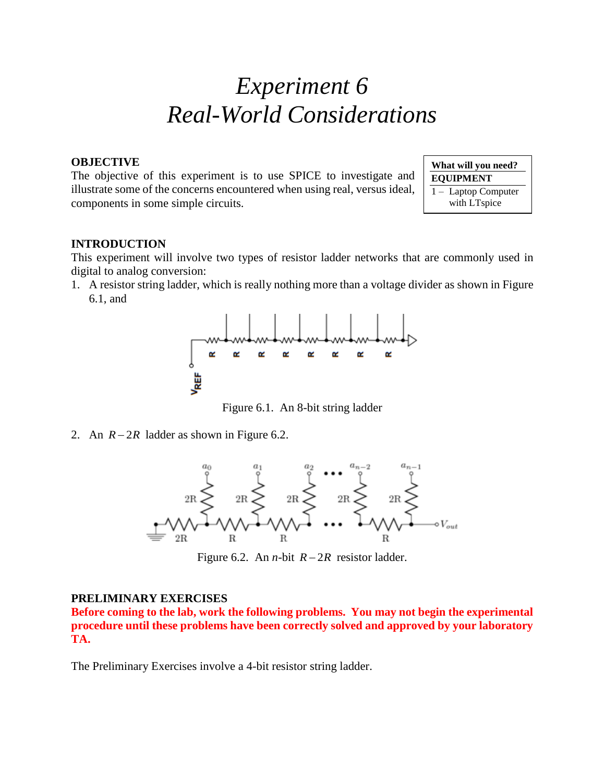# *Experiment 6 Real-World Considerations*

#### **OBJECTIVE**

The objective of this experiment is to use SPICE to investigate and illustrate some of the concerns encountered when using real, versus ideal, components in some simple circuits.

**What will you need? EQUIPMENT** 1 – Laptop Computer with LTspice

## **INTRODUCTION**

This experiment will involve two types of resistor ladder networks that are commonly used in digital to analog conversion:

1. A resistor string ladder, which is really nothing more than a voltage divider as shown in Figure 6.1, and



Figure 6.1. An 8-bit string ladder

2. An  $R - 2R$  ladder as shown in Figure 6.2.



Figure 6.2. An *n*-bit  $R - 2R$  resistor ladder.

### **PRELIMINARY EXERCISES**

**Before coming to the lab, work the following problems. You may not begin the experimental procedure until these problems have been correctly solved and approved by your laboratory TA.**

The Preliminary Exercises involve a 4-bit resistor string ladder.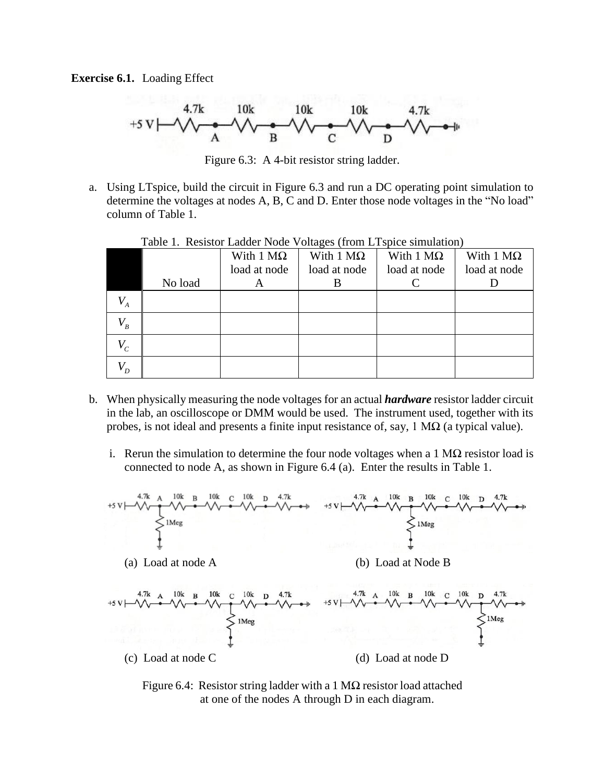**Exercise 6.1.** Loading Effect



Figure 6.3: A 4-bit resistor string ladder.

a. Using LTspice, build the circuit in Figure 6.3 and run a DC operating point simulation to determine the voltages at nodes A, B, C and D. Enter those node voltages in the "No load" column of Table 1.

|                    |         | With $1 \text{ M}\Omega$<br>load at node | With $1 \text{ M}\Omega$<br>load at node | With $1 M\Omega$<br>load at node | With $1 M\Omega$<br>load at node |
|--------------------|---------|------------------------------------------|------------------------------------------|----------------------------------|----------------------------------|
|                    | No load | A                                        |                                          |                                  |                                  |
| $V_{A}$            |         |                                          |                                          |                                  |                                  |
| $V_{\overline{B}}$ |         |                                          |                                          |                                  |                                  |
| $V_c$              |         |                                          |                                          |                                  |                                  |
| $V_{\overline{D}}$ |         |                                          |                                          |                                  |                                  |

Table 1. Resistor Ladder Node Voltages (from LTspice simulation)

- b. When physically measuring the node voltages for an actual *hardware* resistor ladder circuit in the lab, an oscilloscope or DMM would be used. The instrument used, together with its probes, is not ideal and presents a finite input resistance of, say,  $1 \text{ M}\Omega$  (a typical value).
	- i. Rerun the simulation to determine the four node voltages when a 1  $\text{M}\Omega$  resistor load is connected to node A, as shown in Figure 6.4 (a). Enter the results in Table 1.



Figure 6.4: Resistor string ladder with a 1 M $\Omega$  resistor load attached at one of the nodes A through D in each diagram.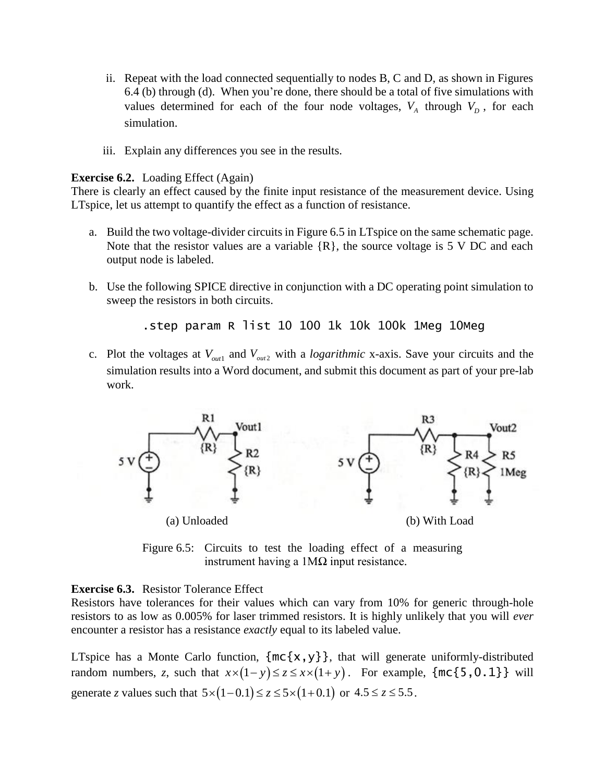- ii. Repeat with the load connected sequentially to nodes B, C and D, as shown in Figures 6.4 (b) through (d). When you're done, there should be a total of five simulations with values determined for each of the four node voltages,  $V_A$  through  $V_D$ , for each simulation.
- iii. Explain any differences you see in the results.

#### **Exercise 6.2.** Loading Effect (Again)

There is clearly an effect caused by the finite input resistance of the measurement device. Using LTspice, let us attempt to quantify the effect as a function of resistance.

- a. Build the two voltage-divider circuits in Figure 6.5 in LTspice on the same schematic page. Note that the resistor values are a variable  $\{R\}$ , the source voltage is 5 V DC and each output node is labeled.
- b. Use the following SPICE directive in conjunction with a DC operating point simulation to sweep the resistors in both circuits.

.step param R list 10 100 1k 10k 100k 1Meg 10Meg

c. Plot the voltages at  $V_{out1}$  and  $V_{out2}$  with a *logarithmic* x-axis. Save your circuits and the simulation results into a Word document, and submit this document as part of your pre-lab work.



Figure 6.5: Circuits to test the loading effect of a measuring instrument having a  $1$ MΩ input resistance.

#### **Exercise 6.3.** Resistor Tolerance Effect

Resistors have tolerances for their values which can vary from 10% for generic through-hole resistors to as low as 0.005% for laser trimmed resistors. It is highly unlikely that you will *ever* encounter a resistor has a resistance *exactly* equal to its labeled value.

LTspice has a Monte Carlo function,  $\{mc\{x,y\}\}\$ , that will generate uniformly-distributed random numbers, *z*, such that  $x \times (1-y) \le z \le x \times (1+y)$ . For example,  $\{\text{mc}\{5, 0.1\}\}\$  will generate *z* values such that  $5 \times (1 - 0.1) \le z \le 5 \times (1 + 0.1)$  or  $4.5 \le z \le 5.5$ .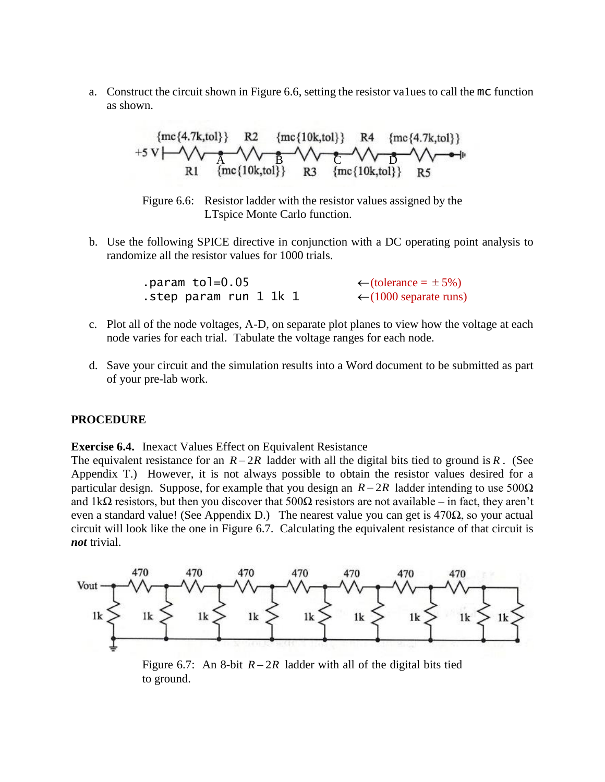a. Construct the circuit shown in Figure 6.6, setting the resistor va1ues to call the mc function as shown.



Figure 6.6: Resistor ladder with the resistor values assigned by the LTspice Monte Carlo function.

b. Use the following SPICE directive in conjunction with a DC operating point analysis to randomize all the resistor values for 1000 trials.

| .param to $=0.05$      | $\leftarrow$ (tolerance = ±5%)    |
|------------------------|-----------------------------------|
| .step param run 1 1k 1 | $\leftarrow$ (1000 separate runs) |

- c. Plot all of the node voltages, A-D, on separate plot planes to view how the voltage at each node varies for each trial. Tabulate the voltage ranges for each node.
- d. Save your circuit and the simulation results into a Word document to be submitted as part of your pre-lab work.

#### **PROCEDURE**

**Exercise 6.4.** Inexact Values Effect on Equivalent Resistance

The equivalent resistance for an  $R - 2R$  ladder with all the digital bits tied to ground is R. (See Appendix T.) However, it is not always possible to obtain the resistor values desired for a particular design. Suppose, for example that you design an  $R - 2R$  ladder intending to use 500 $\Omega$ and 1k $\Omega$  resistors, but then you discover that 500 $\Omega$  resistors are not available – in fact, they aren't even a standard value! (See Appendix D.) The nearest value you can get is  $470\Omega$ , so your actual circuit will look like the one in Figure 6.7. Calculating the equivalent resistance of that circuit is *not* trivial.



Figure 6.7: An 8-bit  $R - 2R$  ladder with all of the digital bits tied to ground.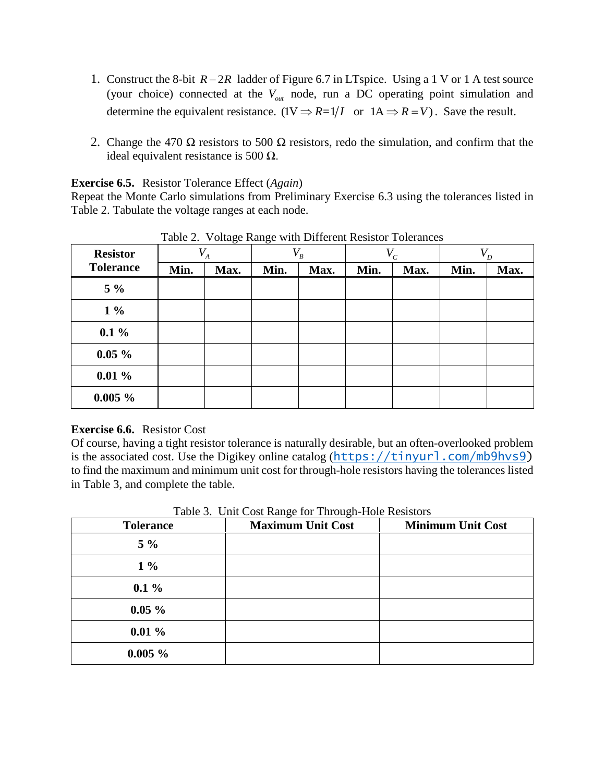- 1. Construct the 8-bit *R* − 2*R* ladder of Figure 6.7 in LTspice. Using a 1 V or 1 A test source (your choice) connected at the *Vout* node, run a DC operating point simulation and determine the equivalent resistance.  $(1V \Rightarrow R=1/I$  or  $1A \Rightarrow R=V)$ . Save the result.
- 2. Change the 470  $\Omega$  resistors to 500  $\Omega$  resistors, redo the simulation, and confirm that the ideal equivalent resistance is 500  $Ω$ .

**Exercise 6.5.** Resistor Tolerance Effect (*Again*)

Repeat the Monte Carlo simulations from Preliminary Exercise 6.3 using the tolerances listed in Table 2. Tabulate the voltage ranges at each node.

| <b>Resistor</b>  | -0-<br>$V_{A}$ |      | --0-<br>$V_{\overline{B}}$ |      | $V_c$ |      | $V_{\overline{D}}$ |      |
|------------------|----------------|------|----------------------------|------|-------|------|--------------------|------|
| <b>Tolerance</b> | Min.           | Max. | Min.                       | Max. | Min.  | Max. | Min.               | Max. |
| $5\%$            |                |      |                            |      |       |      |                    |      |
| $1\%$            |                |      |                            |      |       |      |                    |      |
| $0.1\%$          |                |      |                            |      |       |      |                    |      |
| $0.05 \%$        |                |      |                            |      |       |      |                    |      |
| $0.01\%$         |                |      |                            |      |       |      |                    |      |
| $0.005 \%$       |                |      |                            |      |       |      |                    |      |

Table 2. Voltage Range with Different Resistor Tolerances

# **Exercise 6.6.** Resistor Cost

Of course, having a tight resistor tolerance is naturally desirable, but an often-overlooked problem is the associated cost. Use the Digikey online catalog ([https://tinyurl.com/mb9hvs9\)](https://tinyurl.com/mb9hvs9) to find the maximum and minimum unit cost for through-hole resistors having the tolerances listed in Table 3, and complete the table.

| <b>Tolerance</b> | Table 5. Only Cost Range for Through-Hole Resistors<br><b>Maximum Unit Cost</b> | <b>Minimum Unit Cost</b> |
|------------------|---------------------------------------------------------------------------------|--------------------------|
| $5\%$            |                                                                                 |                          |
| $1\%$            |                                                                                 |                          |
| $0.1\%$          |                                                                                 |                          |
| $0.05 \%$        |                                                                                 |                          |
| $0.01 \%$        |                                                                                 |                          |
| $0.005 \%$       |                                                                                 |                          |

Table 3. Unit Cost Range for Through-Hole Resistors